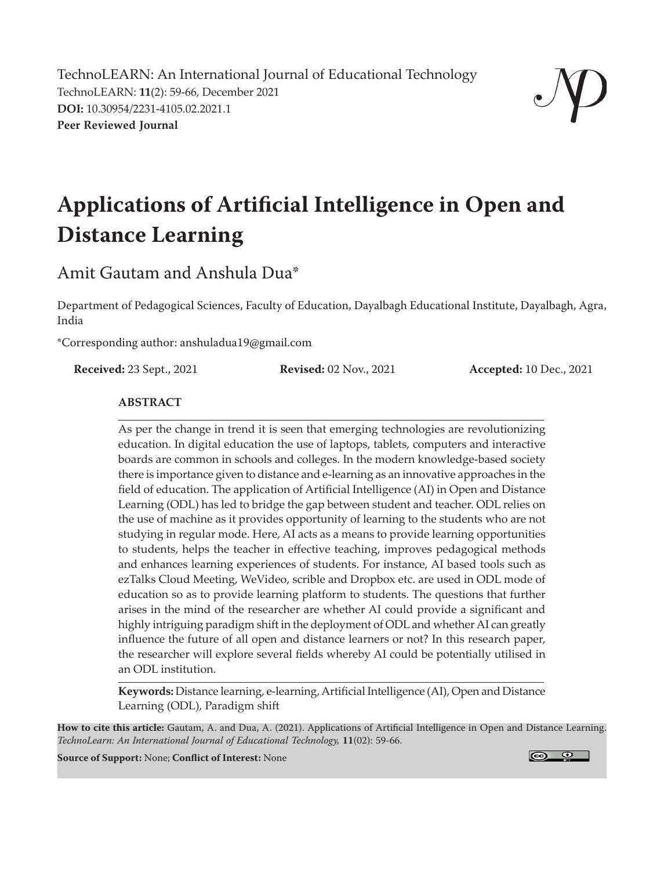TechnoLEARN: An International Journal of Educational Technology TechnoLEARN: **11**(2): 59-66, December 2021 **DOI:** 10.30954/2231-4105.02.2021.1 **Peer Reviewed Journal**



# **Applications of Artificial Intelligence in Open and Distance Learning**

## Amit Gautam and Anshula Dua\*

Department of Pedagogical Sciences, Faculty of Education, Dayalbagh Educational Institute, Dayalbagh, Agra, India

\*Corresponding author: anshuladua19@gmail.com

**Received:** 23 Sept., 2021 **Revised:** 02 Nov., 2021 **Accepted:** 10 Dec., 2021

#### **ABSTRACT**

As per the change in trend it is seen that emerging technologies are revolutionizing education. In digital education the use of laptops, tablets, computers and interactive boards are common in schools and colleges. In the modern knowledge-based society there is importance given to distance and e-learning as an innovative approaches in the field of education. The application of Artificial Intelligence (AI) in Open and Distance Learning (ODL) has led to bridge the gap between student and teacher. ODL relies on the use of machine as it provides opportunity of learning to the students who are not studying in regular mode. Here, AI acts as a means to provide learning opportunities to students, helps the teacher in effective teaching, improves pedagogical methods and enhances learning experiences of students. For instance, AI based tools such as ezTalks Cloud Meeting, WeVideo, scrible and Dropbox etc. are used in ODL mode of education so as to provide learning platform to students. The questions that further arises in the mind of the researcher are whether AI could provide a significant and highly intriguing paradigm shift in the deployment of ODL and whether AI can greatly influence the future of all open and distance learners or not? In this research paper, the researcher will explore several fields whereby AI could be potentially utilised in an ODL institution.

**Keywords:** Distance learning, e-learning, Artificial Intelligence (AI), Open and Distance Learning (ODL), Paradigm shift

**How to cite this article:** Gautam, A. and Dua, A. (2021). Applications of Artificial Intelligence in Open and Distance Learning. *TechnoLearn: An International Journal of Educational Technology,* **11**(02): 59-66.

**Source of Support:** None; **Conflict of Interest:** None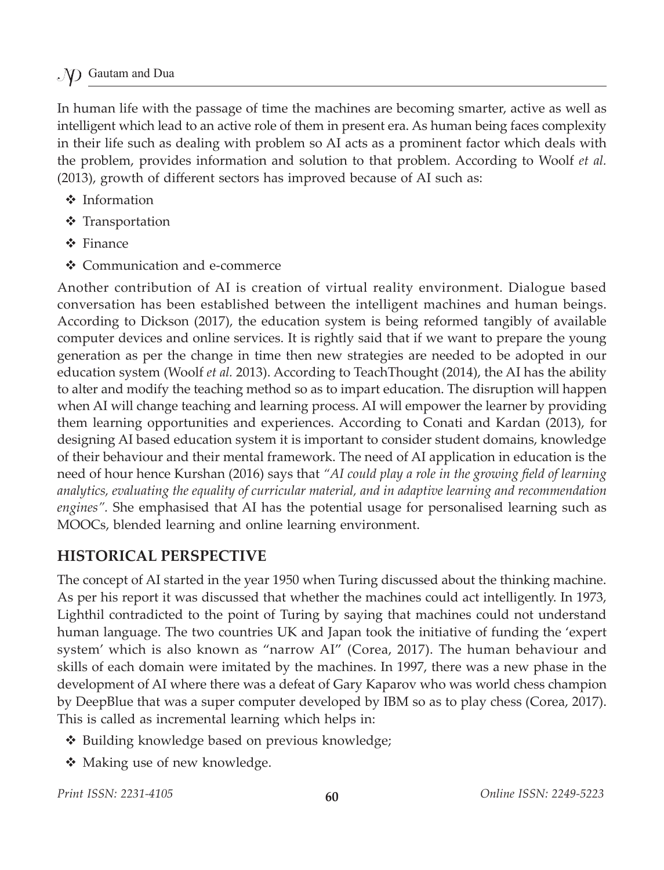#### Gautam and Dua

In human life with the passage of time the machines are becoming smarter, active as well as intelligent which lead to an active role of them in present era. As human being faces complexity in their life such as dealing with problem so AI acts as a prominent factor which deals with the problem, provides information and solution to that problem. According to Woolf *et al.* (2013), growth of different sectors has improved because of AI such as:

- ❖ Information
- ❖ Transportation
- **❖** Finance
- Communication and e-commerce

Another contribution of AI is creation of virtual reality environment. Dialogue based conversation has been established between the intelligent machines and human beings. According to Dickson (2017), the education system is being reformed tangibly of available computer devices and online services. It is rightly said that if we want to prepare the young generation as per the change in time then new strategies are needed to be adopted in our education system (Woolf *et al.* 2013). According to TeachThought (2014), the AI has the ability to alter and modify the teaching method so as to impart education. The disruption will happen when AI will change teaching and learning process. AI will empower the learner by providing them learning opportunities and experiences. According to Conati and Kardan (2013), for designing AI based education system it is important to consider student domains, knowledge of their behaviour and their mental framework. The need of AI application in education is the need of hour hence Kurshan (2016) says that *"AI could play a role in the growing field of learning analytics, evaluating the equality of curricular material, and in adaptive learning and recommendation engines".* She emphasised that AI has the potential usage for personalised learning such as MOOCs, blended learning and online learning environment.

#### **HISTORICAL PERSPECTIVE**

The concept of AI started in the year 1950 when Turing discussed about the thinking machine. As per his report it was discussed that whether the machines could act intelligently. In 1973, Lighthil contradicted to the point of Turing by saying that machines could not understand human language. The two countries UK and Japan took the initiative of funding the 'expert system' which is also known as "narrow AI" (Corea, 2017). The human behaviour and skills of each domain were imitated by the machines. In 1997, there was a new phase in the development of AI where there was a defeat of Gary Kaparov who was world chess champion by DeepBlue that was a super computer developed by IBM so as to play chess (Corea, 2017). This is called as incremental learning which helps in:

- ◆ Building knowledge based on previous knowledge;
- ❖ Making use of new knowledge.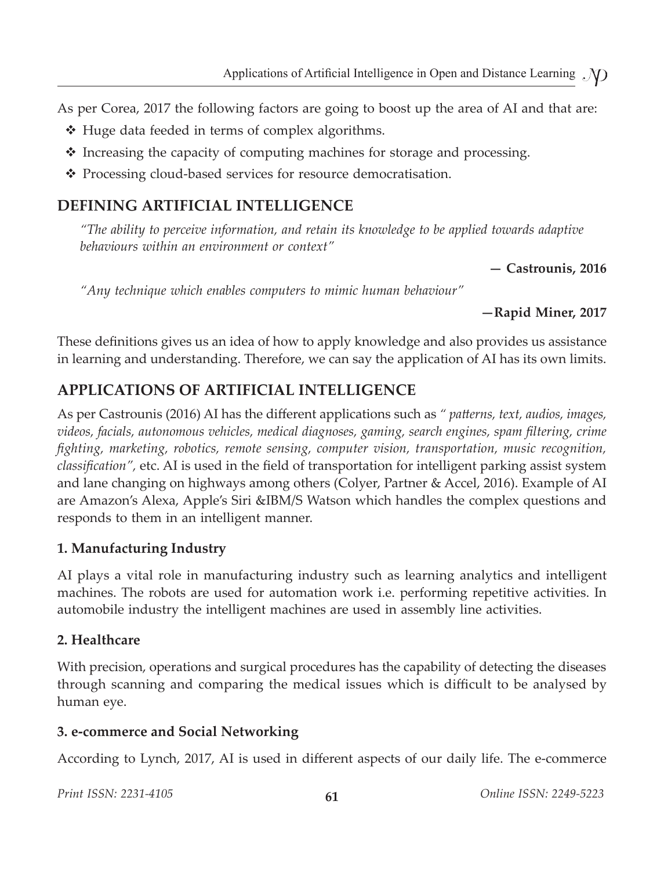As per Corea, 2017 the following factors are going to boost up the area of AI and that are:

- $\triangleleft$  Huge data feeded in terms of complex algorithms.
- $\triangle$  Increasing the capacity of computing machines for storage and processing.
- ❖ Processing cloud-based services for resource democratisation.

### **DEFINING ARTIFICIAL INTELLIGENCE**

*"The ability to perceive information, and retain its knowledge to be applied towards adaptive behaviours within an environment or context"*

**— Castrounis, 2016**

*"Any technique which enables computers to mimic human behaviour"*

**—Rapid Miner, 2017**

These definitions gives us an idea of how to apply knowledge and also provides us assistance in learning and understanding. Therefore, we can say the application of AI has its own limits.

## **APPLICATIONS OF ARTIFICIAL INTELLIGENCE**

As per Castrounis (2016) AI has the different applications such as *" patterns, text, audios, images, videos, facials, autonomous vehicles, medical diagnoses, gaming, search engines, spam filtering, crime fighting, marketing, robotics, remote sensing, computer vision, transportation, music recognition, classification",* etc. AI is used in the field of transportation for intelligent parking assist system and lane changing on highways among others (Colyer, Partner & Accel, 2016). Example of AI are Amazon's Alexa, Apple's Siri &IBM/S Watson which handles the complex questions and responds to them in an intelligent manner.

#### **1. Manufacturing Industry**

AI plays a vital role in manufacturing industry such as learning analytics and intelligent machines. The robots are used for automation work i.e. performing repetitive activities. In automobile industry the intelligent machines are used in assembly line activities.

#### **2. Healthcare**

With precision, operations and surgical procedures has the capability of detecting the diseases through scanning and comparing the medical issues which is difficult to be analysed by human eye.

#### **3. e-commerce and Social Networking**

According to Lynch, 2017, AI is used in different aspects of our daily life. The e-commerce

*Print ISSN: 2231-4105* **61** *Online ISSN: 2249-5223*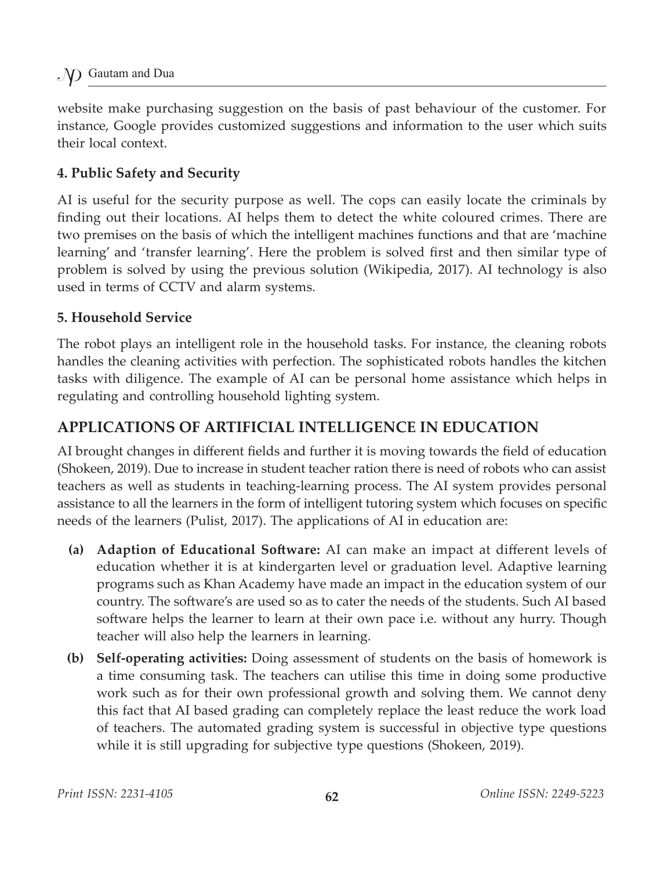website make purchasing suggestion on the basis of past behaviour of the customer. For instance, Google provides customized suggestions and information to the user which suits their local context.

#### **4. Public Safety and Security**

AI is useful for the security purpose as well. The cops can easily locate the criminals by finding out their locations. AI helps them to detect the white coloured crimes. There are two premises on the basis of which the intelligent machines functions and that are 'machine learning' and 'transfer learning'. Here the problem is solved first and then similar type of problem is solved by using the previous solution (Wikipedia, 2017). AI technology is also used in terms of CCTV and alarm systems.

#### **5. Household Service**

The robot plays an intelligent role in the household tasks. For instance, the cleaning robots handles the cleaning activities with perfection. The sophisticated robots handles the kitchen tasks with diligence. The example of AI can be personal home assistance which helps in regulating and controlling household lighting system.

#### **APPLICATIONS OF ARTIFICIAL INTELLIGENCE IN EDUCATION**

AI brought changes in different fields and further it is moving towards the field of education (Shokeen, 2019). Due to increase in student teacher ration there is need of robots who can assist teachers as well as students in teaching-learning process. The AI system provides personal assistance to all the learners in the form of intelligent tutoring system which focuses on specific needs of the learners (Pulist, 2017). The applications of AI in education are:

- **(a) Adaption of Educational Software:** AI can make an impact at different levels of education whether it is at kindergarten level or graduation level. Adaptive learning programs such as Khan Academy have made an impact in the education system of our country. The software's are used so as to cater the needs of the students. Such AI based software helps the learner to learn at their own pace i.e. without any hurry. Though teacher will also help the learners in learning.
- **(b) Self-operating activities:** Doing assessment of students on the basis of homework is a time consuming task. The teachers can utilise this time in doing some productive work such as for their own professional growth and solving them. We cannot deny this fact that AI based grading can completely replace the least reduce the work load of teachers. The automated grading system is successful in objective type questions while it is still upgrading for subjective type questions (Shokeen, 2019).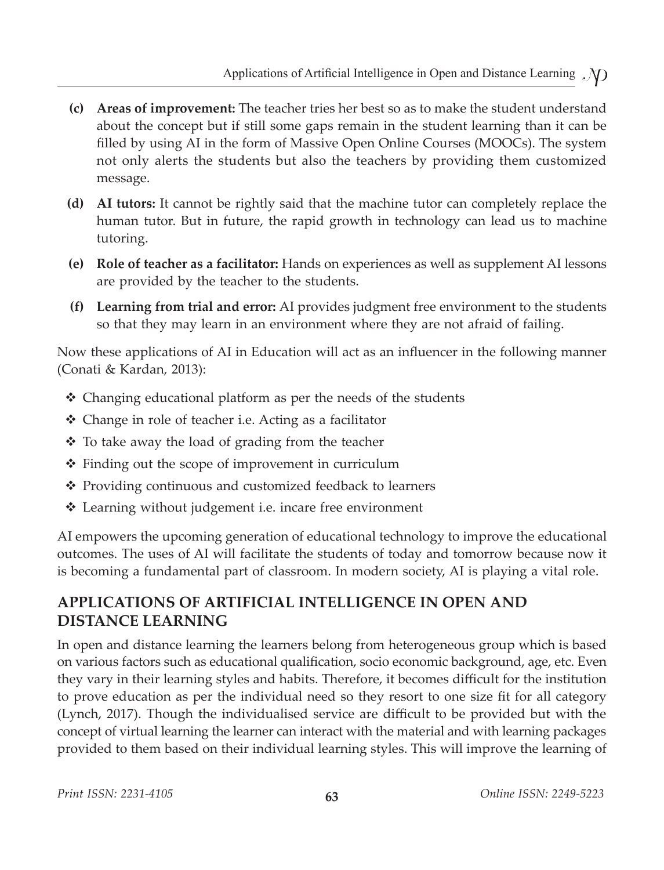- **(c) Areas of improvement:** The teacher tries her best so as to make the student understand about the concept but if still some gaps remain in the student learning than it can be filled by using AI in the form of Massive Open Online Courses (MOOCs). The system not only alerts the students but also the teachers by providing them customized message.
- **(d) AI tutors:** It cannot be rightly said that the machine tutor can completely replace the human tutor. But in future, the rapid growth in technology can lead us to machine tutoring.
- **(e) Role of teacher as a facilitator:** Hands on experiences as well as supplement AI lessons are provided by the teacher to the students.
- **(f) Learning from trial and error:** AI provides judgment free environment to the students so that they may learn in an environment where they are not afraid of failing.

Now these applications of AI in Education will act as an influencer in the following manner (Conati & Kardan, 2013):

- Changing educational platform as per the needs of the students
- Change in role of teacher i.e. Acting as a facilitator
- $\cdot$  To take away the load of grading from the teacher
- $\triangle$  Finding out the scope of improvement in curriculum
- Providing continuous and customized feedback to learners
- Learning without judgement i.e. incare free environment

AI empowers the upcoming generation of educational technology to improve the educational outcomes. The uses of AI will facilitate the students of today and tomorrow because now it is becoming a fundamental part of classroom. In modern society, AI is playing a vital role.

## **APPLICATIONS OF ARTIFICIAL INTELLIGENCE IN OPEN AND DISTANCE LEARNING**

In open and distance learning the learners belong from heterogeneous group which is based on various factors such as educational qualification, socio economic background, age, etc. Even they vary in their learning styles and habits. Therefore, it becomes difficult for the institution to prove education as per the individual need so they resort to one size fit for all category (Lynch, 2017). Though the individualised service are difficult to be provided but with the concept of virtual learning the learner can interact with the material and with learning packages provided to them based on their individual learning styles. This will improve the learning of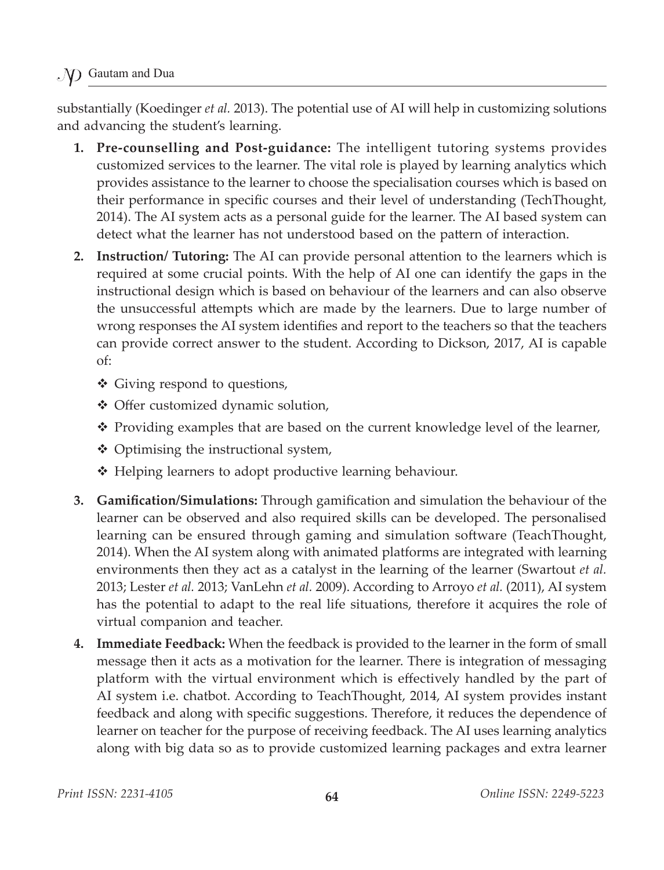Gautam and Dua

substantially (Koedinger *et al.* 2013). The potential use of AI will help in customizing solutions and advancing the student's learning.

- **1. Pre-counselling and Post-guidance:** The intelligent tutoring systems provides customized services to the learner. The vital role is played by learning analytics which provides assistance to the learner to choose the specialisation courses which is based on their performance in specific courses and their level of understanding (TechThought, 2014). The AI system acts as a personal guide for the learner. The AI based system can detect what the learner has not understood based on the pattern of interaction.
- **2. Instruction/ Tutoring:** The AI can provide personal attention to the learners which is required at some crucial points. With the help of AI one can identify the gaps in the instructional design which is based on behaviour of the learners and can also observe the unsuccessful attempts which are made by the learners. Due to large number of wrong responses the AI system identifies and report to the teachers so that the teachers can provide correct answer to the student. According to Dickson, 2017, AI is capable of:
	- Giving respond to questions,
	- Offer customized dynamic solution,
	- \* Providing examples that are based on the current knowledge level of the learner,
	- $\triangleleft$  Optimising the instructional system,
	- ❖ Helping learners to adopt productive learning behaviour.
- **3.** Gamification/Simulations: Through gamification and simulation the behaviour of the learner can be observed and also required skills can be developed. The personalised learning can be ensured through gaming and simulation software (TeachThought, 2014). When the AI system along with animated platforms are integrated with learning environments then they act as a catalyst in the learning of the learner (Swartout *et al.* 2013; Lester *et al.* 2013; VanLehn *et al.* 2009). According to Arroyo *et al.* (2011), AI system has the potential to adapt to the real life situations, therefore it acquires the role of virtual companion and teacher.
- **4. Immediate Feedback:** When the feedback is provided to the learner in the form of small message then it acts as a motivation for the learner. There is integration of messaging platform with the virtual environment which is effectively handled by the part of AI system i.e. chatbot. According to TeachThought, 2014, AI system provides instant feedback and along with specific suggestions. Therefore, it reduces the dependence of learner on teacher for the purpose of receiving feedback. The AI uses learning analytics along with big data so as to provide customized learning packages and extra learner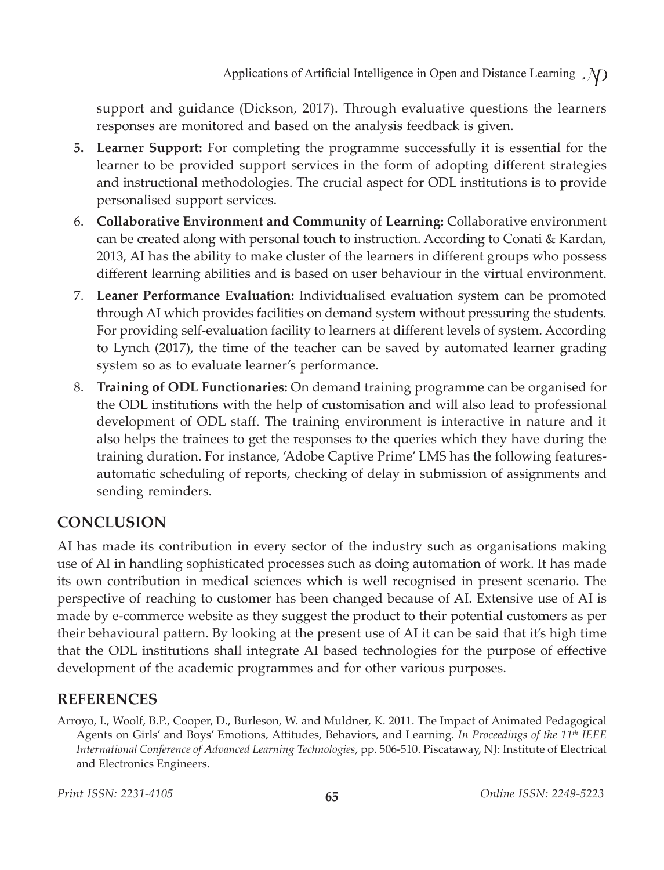support and guidance (Dickson, 2017). Through evaluative questions the learners responses are monitored and based on the analysis feedback is given.

- **5. Learner Support:** For completing the programme successfully it is essential for the learner to be provided support services in the form of adopting different strategies and instructional methodologies. The crucial aspect for ODL institutions is to provide personalised support services.
- 6. **Collaborative Environment and Community of Learning:** Collaborative environment can be created along with personal touch to instruction. According to Conati & Kardan, 2013, AI has the ability to make cluster of the learners in different groups who possess different learning abilities and is based on user behaviour in the virtual environment.
- 7. **Leaner Performance Evaluation:** Individualised evaluation system can be promoted through AI which provides facilities on demand system without pressuring the students. For providing self-evaluation facility to learners at different levels of system. According to Lynch (2017), the time of the teacher can be saved by automated learner grading system so as to evaluate learner's performance.
- 8. **Training of ODL Functionaries:** On demand training programme can be organised for the ODL institutions with the help of customisation and will also lead to professional development of ODL staff. The training environment is interactive in nature and it also helps the trainees to get the responses to the queries which they have during the training duration. For instance, 'Adobe Captive Prime' LMS has the following featuresautomatic scheduling of reports, checking of delay in submission of assignments and sending reminders.

## **CONCLUSION**

AI has made its contribution in every sector of the industry such as organisations making use of AI in handling sophisticated processes such as doing automation of work. It has made its own contribution in medical sciences which is well recognised in present scenario. The perspective of reaching to customer has been changed because of AI. Extensive use of AI is made by e-commerce website as they suggest the product to their potential customers as per their behavioural pattern. By looking at the present use of AI it can be said that it's high time that the ODL institutions shall integrate AI based technologies for the purpose of effective development of the academic programmes and for other various purposes.

## **REFERENCES**

Arroyo, I., Woolf, B.P., Cooper, D., Burleson, W. and Muldner, K. 2011. The Impact of Animated Pedagogical Agents on Girls' and Boys' Emotions, Attitudes, Behaviors, and Learning. *In Proceedings of the 11th IEEE International Conference of Advanced Learning Technologies*, pp. 506-510. Piscataway, NJ: Institute of Electrical and Electronics Engineers.